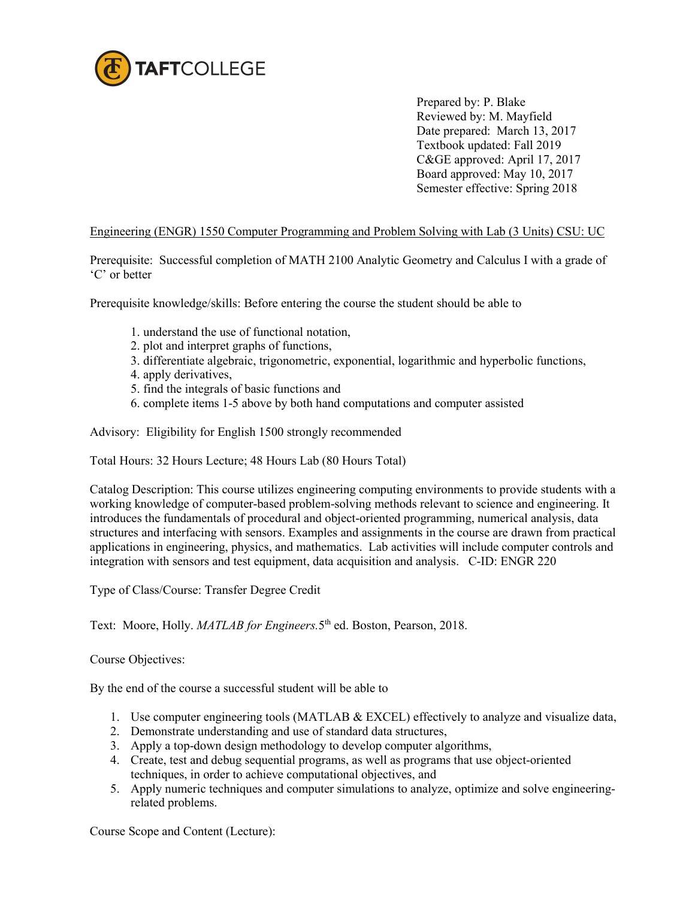

 Prepared by: P. Blake Reviewed by: M. Mayfield Date prepared: March 13, 2017 Textbook updated: Fall 2019 C&GE approved: April 17, 2017 Board approved: May 10, 2017 Semester effective: Spring 2018

## Engineering (ENGR) 1550 Computer Programming and Problem Solving with Lab (3 Units) CSU: UC

Prerequisite: Successful completion of MATH 2100 Analytic Geometry and Calculus I with a grade of 'C' or better

Prerequisite knowledge/skills: Before entering the course the student should be able to

- 1. understand the use of functional notation,
- 2. plot and interpret graphs of functions,
- 3. differentiate algebraic, trigonometric, exponential, logarithmic and hyperbolic functions,
- 4. apply derivatives,
- 5. find the integrals of basic functions and
- 6. complete items 1-5 above by both hand computations and computer assisted

Advisory: Eligibility for English 1500 strongly recommended

Total Hours: 32 Hours Lecture; 48 Hours Lab (80 Hours Total)

Catalog Description: This course utilizes engineering computing environments to provide students with a working knowledge of computer-based problem-solving methods relevant to science and engineering. It introduces the fundamentals of procedural and object-oriented programming, numerical analysis, data structures and interfacing with sensors. Examples and assignments in the course are drawn from practical applications in engineering, physics, and mathematics. Lab activities will include computer controls and integration with sensors and test equipment, data acquisition and analysis. C-ID: ENGR 220

Type of Class/Course: Transfer Degree Credit

Text: Moore, Holly. *MATLAB for Engineers*. 5<sup>th</sup> ed. Boston, Pearson, 2018.

Course Objectives:

By the end of the course a successful student will be able to

- 1. Use computer engineering tools (MATLAB & EXCEL) effectively to analyze and visualize data,
- 2. Demonstrate understanding and use of standard data structures,
- 3. Apply a top-down design methodology to develop computer algorithms,
- 4. Create, test and debug sequential programs, as well as programs that use object-oriented techniques, in order to achieve computational objectives, and
- 5. Apply numeric techniques and computer simulations to analyze, optimize and solve engineeringrelated problems.

Course Scope and Content (Lecture):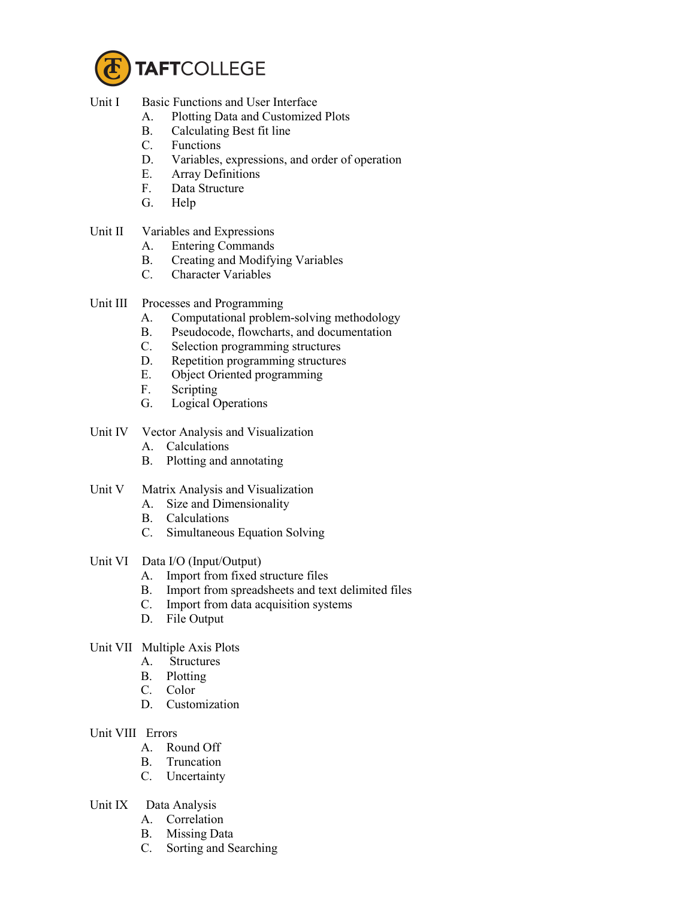

- Unit I Basic Functions and User Interface
	- A. Plotting Data and Customized Plots
	- B. Calculating Best fit line
	- C. Functions
	- D. Variables, expressions, and order of operation
	- E. Array Definitions<br>F. Data Structure
	- Data Structure
	- G. Help
- Unit II Variables and Expressions
	- A. Entering Commands
	- B. Creating and Modifying Variables<br>C. Character Variables
	- Character Variables
- Unit III Processes and Programming
	- A. Computational problem-solving methodology
	- B. Pseudocode, flowcharts, and documentation
	- C. Selection programming structures
	- D. Repetition programming structures
	- E. Object Oriented programming
	- F. Scripting
	- G. Logical Operations
- Unit IV Vector Analysis and Visualization
	- A. Calculations
	- B. Plotting and annotating
- Unit V Matrix Analysis and Visualization
	- A. Size and Dimensionality
	- B. Calculations
	- C. Simultaneous Equation Solving
- Unit VI Data I/O (Input/Output)
	- A. Import from fixed structure files
	- B. Import from spreadsheets and text delimited files
	- C. Import from data acquisition systems
	- D. File Output
- Unit VII Multiple Axis Plots
	- A. Structures
	- B. Plotting
	- C. Color
	- D. Customization
- Unit VIII Errors
	- A. Round Off
	- B. Truncation
	- C. Uncertainty
- Unit IX Data Analysis
	- A. Correlation
	- B. Missing Data
	- C. Sorting and Searching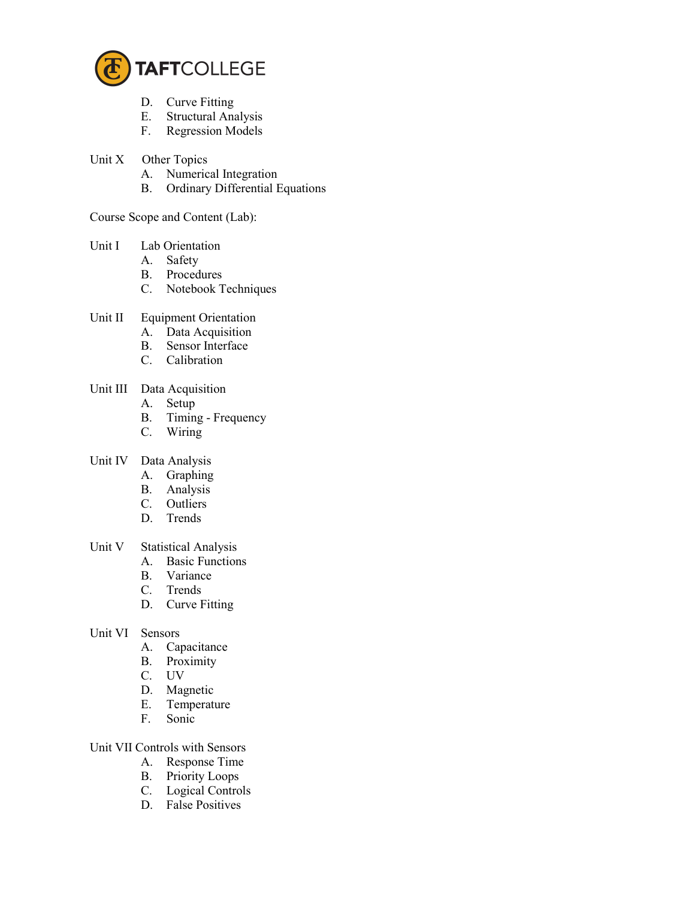

- D. Curve Fitting
- E. Structural Analysis<br>F. Regression Models
- Regression Models
- Unit X Other Topics
	- A. Numerical Integration
	- B. Ordinary Differential Equations

Course Scope and Content (Lab):

- Unit I Lab Orientation
	- A. Safety
	- B. Procedures
	- C. Notebook Techniques
- Unit II Equipment Orientation
	- A. Data Acquisition
	- B. Sensor Interface
	- C. Calibration
- Unit III Data Acquisition
	- A. Setup
	- B. Timing Frequency
	- C. Wiring
- Unit IV Data Analysis
	- A. Graphing
	- B. Analysis
	- C. Outliers
	- D. Trends
- Unit V Statistical Analysis
	- A. Basic Functions
	- B. Variance
	- C. Trends
	- D. Curve Fitting
- Unit VI Sensors<br>A. Ca
	- Capacitance
	- B. Proximity<br>C. UV
	- UV
	- D. Magnetic
	- E. Temperature
	- F. Sonic

## Unit VII Controls with Sensors

- A. Response Time
- B. Priority Loops
- C. Logical Controls
- D. False Positives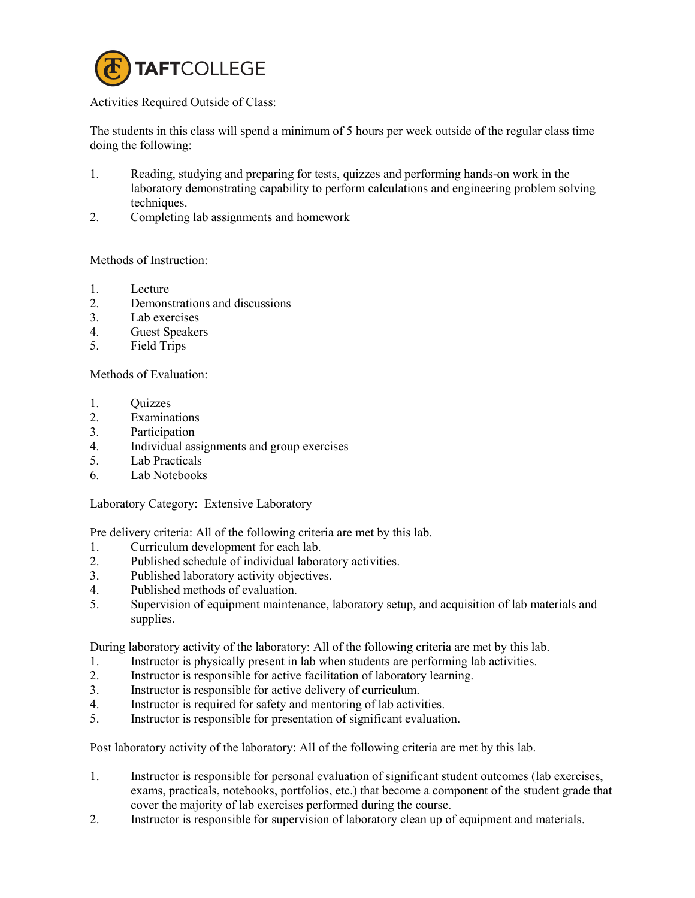

## Activities Required Outside of Class:

The students in this class will spend a minimum of 5 hours per week outside of the regular class time doing the following:

- 1. Reading, studying and preparing for tests, quizzes and performing hands-on work in the laboratory demonstrating capability to perform calculations and engineering problem solving techniques.
- 2. Completing lab assignments and homework

## Methods of Instruction:

- 1. Lecture
- 2. Demonstrations and discussions
- 3. Lab exercises
- 4. Guest Speakers
- 5. Field Trips

Methods of Evaluation:

- 1. Quizzes
- 2. Examinations
- 3. Participation
- 4. Individual assignments and group exercises
- 5. Lab Practicals
- 6. Lab Notebooks

Laboratory Category: Extensive Laboratory

Pre delivery criteria: All of the following criteria are met by this lab.

- 1. Curriculum development for each lab.
- 2. Published schedule of individual laboratory activities.
- 3. Published laboratory activity objectives.
- 4. Published methods of evaluation.
- 5. Supervision of equipment maintenance, laboratory setup, and acquisition of lab materials and supplies.

During laboratory activity of the laboratory: All of the following criteria are met by this lab.

- 1. Instructor is physically present in lab when students are performing lab activities.
- 2. Instructor is responsible for active facilitation of laboratory learning.
- 3. Instructor is responsible for active delivery of curriculum.
- 4. Instructor is required for safety and mentoring of lab activities.
- 5. Instructor is responsible for presentation of significant evaluation.

Post laboratory activity of the laboratory: All of the following criteria are met by this lab.

- 1. Instructor is responsible for personal evaluation of significant student outcomes (lab exercises, exams, practicals, notebooks, portfolios, etc.) that become a component of the student grade that cover the majority of lab exercises performed during the course.
- 2. Instructor is responsible for supervision of laboratory clean up of equipment and materials.